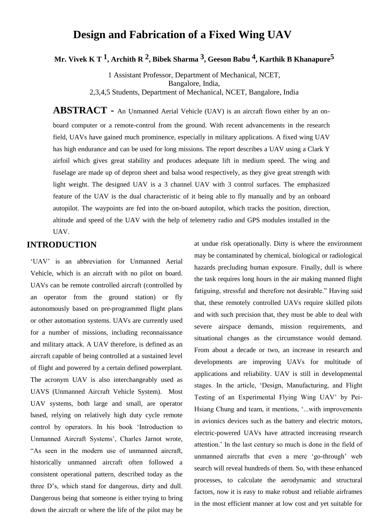# **Design and Fabrication of a Fixed Wing UAV**

**Mr. Vivek K T 1, Archith R 2, Bibek Sharma 3, Geeson Babu 4, Karthik B Khanapure5**

1 Assistant Professor, Department of Mechanical, NCET, Bangalore, India, 2,3,4,5 Students, Department of Mechanical, NCET, Bangalore, India

**ABSTRACT -** An Unmanned Aerial Vehicle (UAV) is an aircraft flown either by an onboard computer or a remote-control from the ground. With recent advancements in the research field, UAVs have gained much prominence, especially in military applications. A fixed wing UAV has high endurance and can be used for long missions. The report describes a UAV using a Clark Y airfoil which gives great stability and produces adequate lift in medium speed. The wing and fuselage are made up of depron sheet and balsa wood respectively, as they give great strength with light weight. The designed UAV is a 3 channel UAV with 3 control surfaces. The emphasized feature of the UAV is the dual characteristic of it being able to fly manually and by an onboard autopilot. The waypoints are fed into the on-board autopilot, which tracks the position, direction, altitude and speed of the UAV with the help of telemetry radio and GPS modules installed in the UAV.

## **INTRODUCTION**

'UAV' is an abbreviation for Unmanned Aerial Vehicle, which is an aircraft with no pilot on board. UAVs can be remote controlled aircraft (controlled by an operator from the ground station) or fly autonomously based on pre-programmed flight plans or other automation systems. UAVs are currently used for a number of missions, including reconnaissance and military attack. A UAV therefore, is defined as an aircraft capable of being controlled at a sustained level of flight and powered by a certain defined powerplant. The acronym UAV is also interchangeably used as UAVS (Unmanned Aircraft Vehicle System). Most UAV systems, both large and small, are operator based, relying on relatively high duty cycle remote control by operators. In his book "Introduction to Unmanned Aircraft Systems', Charles Jarnot wrote, "As seen in the modern use of unmanned aircraft, historically unmanned aircraft often followed a consistent operational pattern, described today as the three D"s, which stand for dangerous, dirty and dull. Dangerous being that someone is either trying to bring down the aircraft or where the life of the pilot may be

at undue risk operationally. Dirty is where the environment may be contaminated by chemical, biological or radiological hazards precluding human exposure. Finally, dull is where the task requires long hours in the air making manned flight fatiguing, stressful and therefore not desirable." Having said that, these remotely controlled UAVs require skilled pilots and with such precision that, they must be able to deal with severe airspace demands, mission requirements, and situational changes as the circumstance would demand. From about a decade or two, an increase in research and developments are improving UAVs for multitude of applications and reliability. UAV is still in developmental stages. In the article, "Design, Manufacturing, and Flight Testing of an Experimental Flying Wing UAV" by Pei-Hsiang Chung and team, it mentions, "...with improvements in avionics devices such as the battery and electric motors, electric-powered UAVs have attracted increasing research attention." In the last century so much is done in the field of unmanned aircrafts that even a mere "go-through" web search will reveal hundreds of them. So, with these enhanced processes, to calculate the aerodynamic and structural factors, now it is easy to make robust and reliable airframes in the most efficient manner at low cost and yet suitable for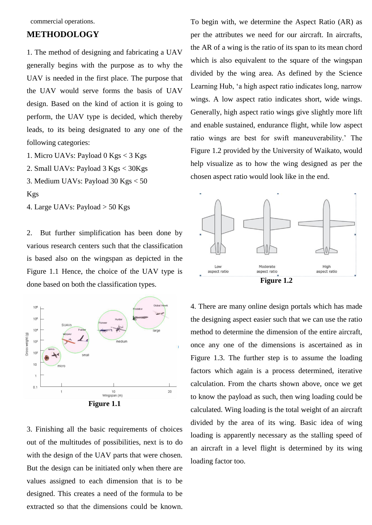commercial operations.

# **METHODOLOGY**

1. The method of designing and fabricating a UAV generally begins with the purpose as to why the UAV is needed in the first place. The purpose that the UAV would serve forms the basis of UAV design. Based on the kind of action it is going to perform, the UAV type is decided, which thereby leads, to its being designated to any one of the following categories:

1. Micro UAVs: Payload 0 Kgs < 3 Kgs

2. Small UAVs: Payload 3 Kgs < 30Kgs

3. Medium UAVs: Payload 30 Kgs < 50

```
Kgs
```
4. Large UAVs: Payload > 50 Kgs

2. But further simplification has been done by various research centers such that the classification is based also on the wingspan as depicted in the Figure 1.1 Hence, the choice of the UAV type is done based on both the classification types.



**Figure 1.1**

3. Finishing all the basic requirements of choices out of the multitudes of possibilities, next is to do with the design of the UAV parts that were chosen. But the design can be initiated only when there are values assigned to each dimension that is to be designed. This creates a need of the formula to be extracted so that the dimensions could be known. To begin with, we determine the Aspect Ratio (AR) as per the attributes we need for our aircraft. In aircrafts, the AR of a wing is the ratio of its span to its mean chord which is also equivalent to the square of the wingspan divided by the wing area. As defined by the Science Learning Hub, "a high aspect ratio indicates long, narrow wings. A low aspect ratio indicates short, wide wings. Generally, high aspect ratio wings give slightly more lift and enable sustained, endurance flight, while low aspect ratio wings are best for swift maneuverability.' The Figure 1.2 provided by the University of Waikato, would help visualize as to how the wing designed as per the chosen aspect ratio would look like in the end.



4. There are many online design portals which has made the designing aspect easier such that we can use the ratio method to determine the dimension of the entire aircraft, once any one of the dimensions is ascertained as in Figure 1.3. The further step is to assume the loading factors which again is a process determined, iterative calculation. From the charts shown above, once we get to know the payload as such, then wing loading could be calculated. Wing loading is the total weight of an aircraft divided by the area of its wing. Basic idea of wing loading is apparently necessary as the stalling speed of an aircraft in a level flight is determined by its wing loading factor too.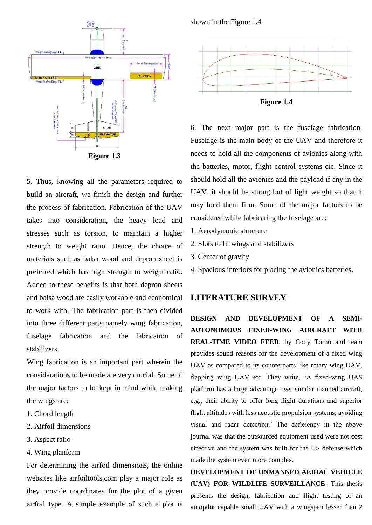

5. Thus, knowing all the parameters required to build an aircraft, we finish the design and further the process of fabrication. Fabrication of the UAV takes into consideration, the heavy load and stresses such as torsion, to maintain a higher strength to weight ratio. Hence, the choice of materials such as balsa wood and depron sheet is preferred which has high strength to weight ratio. Added to these benefits is that both depron sheets and balsa wood are easily workable and economical to work with. The fabrication part is then divided into three different parts namely wing fabrication, fuselage fabrication and the fabrication of stabilizers.

Wing fabrication is an important part wherein the considerations to be made are very crucial. Some of the major factors to be kept in mind while making the wings are:

- 1. Chord length
- 2. Airfoil dimensions
- 3. Aspect ratio
- 4. Wing planform

For determining the airfoil dimensions, the online websites like airfoiltools.com play a major role as they provide coordinates for the plot of a given airfoil type. A simple example of such a plot is

shown in the Figure 1.4



**Figure 1.4**

6. The next major part is the fuselage fabrication. Fuselage is the main body of the UAV and therefore it needs to hold all the components of avionics along with the batteries, motor, flight control systems etc. Since it should hold all the avionics and the payload if any in the UAV, it should be strong but of light weight so that it may hold them firm. Some of the major factors to be considered while fabricating the fuselage are:

- 1. Aerodynamic structure
- 2. Slots to fit wings and stabilizers
- 3. Center of gravity
- 4. Spacious interiors for placing the avionics batteries.

## **LITERATURE SURVEY**

**DESIGN AND DEVELOPMENT OF A SEMI-AUTONOMOUS FIXED-WING AIRCRAFT WITH REAL-TIME VIDEO FEED**, by Cody Torno and team provides sound reasons for the development of a fixed wing UAV as compared to its counterparts like rotary wing UAV, flapping wing UAV etc. They write, 'A fixed-wing UAS platform has a large advantage over similar manned aircraft, e.g., their ability to offer long flight durations and superior flight altitudes with less acoustic propulsion systems, avoiding visual and radar detection." The deficiency in the above journal was that the outsourced equipment used were not cost effective and the system was built for the US defense which made the system even more complex.

**DEVELOPMENT OF UNMANNED AERIAL VEHICLE (UAV) FOR WILDLIFE SURVEILLANCE**: This thesis presents the design, fabrication and flight testing of an autopilot capable small UAV with a wingspan lesser than 2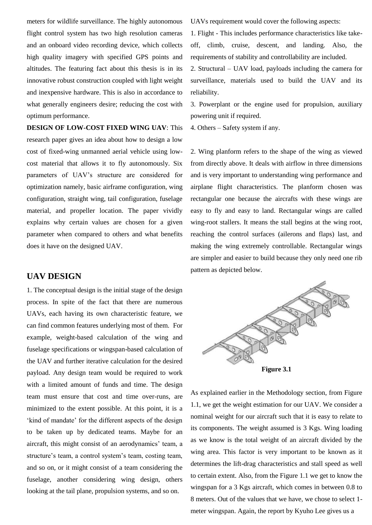meters for wildlife surveillance. The highly autonomous flight control system has two high resolution cameras and an onboard video recording device, which collects high quality imagery with specified GPS points and altitudes. The featuring fact about this thesis is in its innovative robust construction coupled with light weight and inexpensive hardware. This is also in accordance to what generally engineers desire; reducing the cost with optimum performance.

**DESIGN OF LOW-COST FIXED WING UAV**: This research paper gives an idea about how to design a low cost of fixed-wing unmanned aerial vehicle using lowcost material that allows it to fly autonomously. Six parameters of UAV"s structure are considered for optimization namely, basic airframe configuration, wing configuration, straight wing, tail configuration, fuselage material, and propeller location. The paper vividly explains why certain values are chosen for a given parameter when compared to others and what benefits does it have on the designed UAV.

# **UAV DESIGN**

1. The conceptual design is the initial stage of the design process. In spite of the fact that there are numerous UAVs, each having its own characteristic feature, we can find common features underlying most of them. For example, weight-based calculation of the wing and fuselage specifications or wingspan-based calculation of the UAV and further iterative calculation for the desired payload. Any design team would be required to work with a limited amount of funds and time. The design team must ensure that cost and time over-runs, are minimized to the extent possible. At this point, it is a 'kind of mandate' for the different aspects of the design to be taken up by dedicated teams. Maybe for an aircraft, this might consist of an aerodynamics' team, a structure's team, a control system's team, costing team, and so on, or it might consist of a team considering the fuselage, another considering wing design, others looking at the tail plane, propulsion systems, and so on.

UAVs requirement would cover the following aspects:

1. Flight - This includes performance characteristics like takeoff, climb, cruise, descent, and landing. Also, the requirements of stability and controllability are included.

2. Structural – UAV load, payloads including the camera for surveillance, materials used to build the UAV and its reliability.

3. Powerplant or the engine used for propulsion, auxiliary powering unit if required.

4. Others – Safety system if any.

2. Wing planform refers to the shape of the wing as viewed from directly above. It deals with airflow in three dimensions and is very important to understanding wing performance and airplane flight characteristics. The planform chosen was rectangular one because the aircrafts with these wings are easy to fly and easy to land. Rectangular wings are called wing-root stallers. It means the stall begins at the wing root, reaching the control surfaces (ailerons and flaps) last, and making the wing extremely controllable. Rectangular wings are simpler and easier to build because they only need one rib pattern as depicted below.



**Figure 3.1**

As explained earlier in the Methodology section, from Figure 1.1, we get the weight estimation for our UAV. We consider a nominal weight for our aircraft such that it is easy to relate to its components. The weight assumed is 3 Kgs. Wing loading as we know is the total weight of an aircraft divided by the wing area. This factor is very important to be known as it determines the lift-drag characteristics and stall speed as well to certain extent. Also, from the Figure 1.1 we get to know the wingspan for a 3 Kgs aircraft, which comes in between 0.8 to 8 meters. Out of the values that we have, we chose to select 1 meter wingspan. Again, the report by Kyuho Lee gives us a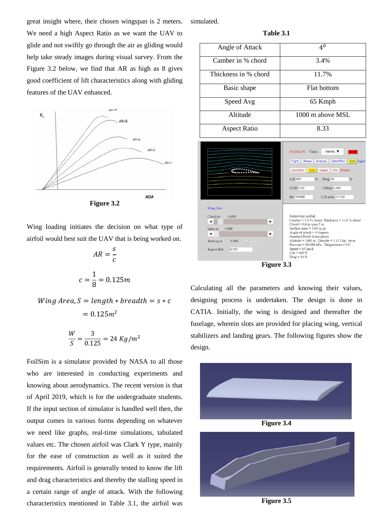great insight where, their chosen wingspan is 2 meters. We need a high Aspect Ratio as we want the UAV to glide and not swiftly go through the air as gliding would help take steady images during visual survey. From the Figure 3.2 below, we find that AR as high as 8 gives good coefficient of lift characteristics along with gliding features of the UAV enhanced.



**Figure 3.2**

Wing loading initiates the decision on what type of airfoil would best suit the UAV that is being worked on.

$$
AR = \frac{s}{c}
$$

$$
c = \frac{1}{8} = 0.125m
$$

$$
Wing Area, S = length * breadth = s * c
$$

$$
= 0.125m2
$$

$$
\frac{W}{S} = \frac{3}{0.125} = 24 \, Kg/m^2
$$

FoilSim is a simulator provided by NASA to all those who are interested in conducting experiments and knowing about aerodynamics. The recent version is that of April 2019, which is for the undergraduate students. If the input section of simulator is handled well then, the output comes in various forms depending on whatever we need like graphs, real-time simulations, tabulated values etc. The chosen airfoil was Clark Y type, mainly for the ease of construction as well as it suited the requirements. Airfoil is generally tested to know the lift and drag characteristics and thereby the stalling speed in a certain range of angle of attack. With the following characteristics mentioned in Table 3.1, the airfoil was

simulated.

**Table 3.1**

| Angle of Attack      | 4 <sup>0</sup>                                                                                                  |  |  |
|----------------------|-----------------------------------------------------------------------------------------------------------------|--|--|
| Camber in % chord    | 3.4%                                                                                                            |  |  |
| Thickness in % chord | 11.7%                                                                                                           |  |  |
| Basic shape          | Flat bottom                                                                                                     |  |  |
| Speed Avg            | 65 Kmph                                                                                                         |  |  |
| Altitude             | 1000 m above MSL                                                                                                |  |  |
| <b>Aspect Ratio</b>  | 8.33                                                                                                            |  |  |
|                      | and the state of the state of the state of the state of the state of the state of the state of the state of the |  |  |





Calculating all the parameters and knowing their values, designing process is undertaken. The design is done in CATIA. Initially, the wing is designed and thereafter the fuselage, wherein slots are provided for placing wing, vertical stabilizers and landing gears. The following figures show the design.



**Figure 3.5**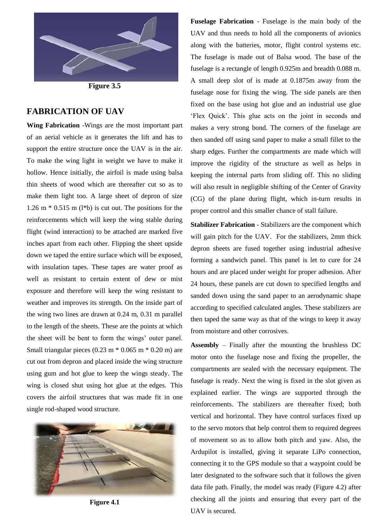

**Figure 3.5**

### **FABRICATION OF UAV**

**Wing Fabrication** -Wings are the most important part of an aerial vehicle as it generates the lift and has to support the entire structure once the UAV is in the air. To make the wing light in weight we have to make it hollow. Hence initially, the airfoil is made using balsa thin sheets of wood which are thereafter cut so as to make them light too. A large sheet of depron of size 1.26 m  $*$  0.515 m (1 $*$ b) is cut out. The positions for the reinforcements which will keep the wing stable during flight (wind interaction) to be attached are marked five inches apart from each other. Flipping the sheet upside down we taped the entire surface which will be exposed, with insulation tapes. These tapes are water proof as well as resistant to certain extent of dew or mist exposure and therefore will keep the wing resistant to weather and improves its strength. On the inside part of the wing two lines are drawn at 0.24 m, 0.31 m parallel to the length of the sheets. These are the points at which the sheet will be bent to form the wings' outer panel. Small triangular pieces  $(0.23 \text{ m} * 0.065 \text{ m} * 0.20 \text{ m})$  are cut out from depron and placed inside the wing structure using gum and hot glue to keep the wings steady. The wing is closed shut using hot glue at the edges. This covers the airfoil structures that was made fit in one single rod-shaped wood structure.



**Figure 4.1**

**Fuselage Fabrication** - Fuselage is the main body of the UAV and thus needs to hold all the components of avionics along with the batteries, motor, flight control systems etc. The fuselage is made out of Balsa wood. The base of the fuselage is a rectangle of length 0.925m and breadth 0.088 m. A small deep slot of is made at 0.1875m away from the fuselage nose for fixing the wing. The side panels are then fixed on the base using hot glue and an industrial use glue "Flex Quick". This glue acts on the joint in seconds and makes a very strong bond. The corners of the fuselage are then sanded off using sand paper to make a small fillet to the sharp edges. Further the compartments are made which will improve the rigidity of the structure as well as helps in keeping the internal parts from sliding off. This no sliding will also result in negligible shifting of the Center of Gravity (CG) of the plane during flight, which in-turn results in proper control and this smaller chance of stall failure.

**Stabilizer Fabrication** - Stabilizers are the component which will gain pitch for the UAV. For the stabilizers, 2mm thick depron sheets are fused together using industrial adhesive forming a sandwich panel. This panel is let to cure for 24 hours and are placed under weight for proper adhesion. After 24 hours, these panels are cut down to specified lengths and sanded down using the sand paper to an aerodynamic shape according to specified calculated angles. These stabilizers are then taped the same way as that of the wings to keep it away from moisture and other corrosives.

**Assembly** – Finally after the mounting the brushless DC motor onto the fuselage nose and fixing the propeller, the compartments are sealed with the necessary equipment. The fuselage is ready. Next the wing is fixed in the slot given as explained earlier. The wings are supported through the reinforcements. The stabilizers are thereafter fixed; both vertical and horizontal. They have control surfaces fixed up to the servo motors that help control them to required degrees of movement so as to allow both pitch and yaw. Also, the Ardupilot is installed, giving it separate LiPo connection, connecting it to the GPS module so that a waypoint could be later designated to the software such that it follows the given data file path. Finally, the model was ready (Figure 4.2) after checking all the joints and ensuring that every part of the UAV is secured.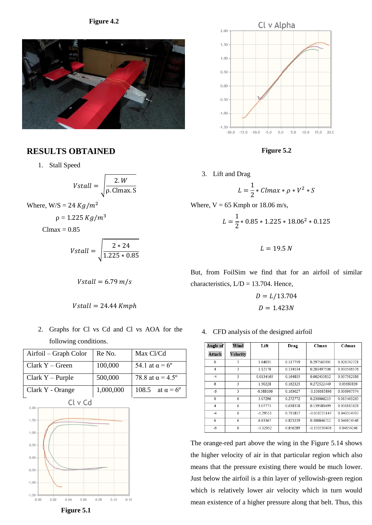#### **Figure 4.2**



## **RESULTS OBTAINED**

1. Stall Speed

$$
Vstall = \sqrt{\frac{2.W}{\rho.\text{Clmax.S}}}
$$

Where,  $W/S = 24 Kg/m^2$ 

$$
\rho = 1.225 \; Kg/m^3
$$

 $Clmax = 0.85$ 

$$
Vstall = \sqrt{\frac{2 * 24}{1.225 * 0.85}}
$$

$$
Vstall = 6.79 \ m/s
$$

 $Vstall = 24.44$  Kmph

2. Graphs for Cl vs Cd and Cl vs AOA for the following conditions.

| Airfoil – Graph Color | Re No.    | Max Cl/Cd                     |  |
|-----------------------|-----------|-------------------------------|--|
| Clark $Y - Green$     | 100,000   | 54.1 at $\alpha = 6^{\circ}$  |  |
| Clark $Y$ – Purple    | 500,000   | 78.8 at $\alpha$ = 4.5°       |  |
| Clark Y - Orange      | 1,000,000 | 108.5 at $\alpha = 6^{\circ}$ |  |
| Cl v Cd               |           |                               |  |
| 2.00                  |           |                               |  |
| $1.50 \cdot$          |           |                               |  |
| $1.00 \cdot$          |           |                               |  |
| 0.50                  |           |                               |  |
| 0.00                  |           |                               |  |
| $-0.50$               |           |                               |  |
| $-1.00$               |           |                               |  |
| $-1.50$               |           |                               |  |



**Figure 5.2**

3. Lift and Drag

$$
L = \frac{1}{2} * \text{Clmax} * \rho * V^2 * S
$$

Where, 
$$
V = 65
$$
 Kmph or 18.06 m/s,

$$
L = \frac{1}{2} * 0.85 * 1.225 * 18.06^2 * 0.125
$$

 $L = 19.5 N$ 

But, from FoilSim we find that for an airfoil of similar characteristics,  $L/D = 13.704$ . Hence,

$$
D = L/13.704
$$

$$
D = 1.423N
$$

4. CFD analysis of the designed airfoil

| Angle of       | Wind     | Lift        | Drag     | Clmax          | Cdmax       |
|----------------|----------|-------------|----------|----------------|-------------|
| <b>Attack</b>  | Velocity |             |          |                |             |
| $\theta$       | 3        | 1.64031     | 0.117759 | 0.297561905    | 0.026702721 |
| 4              | 3        | 1.12178     | 0.134534 | 0.203497506    | 0.030506576 |
| $-4$           | 3        | 0.0134165   | 0.164855 | 0.002433832    | 0.037382086 |
| 6              | 3        | 1.50228     | 0.162325 | 0.272522449    | 0.03680839  |
| $-6$           | 3        | $-0.588106$ | 0.163027 | $-0.106685896$ | 0.036967574 |
| $\theta$       | 6        | 5.07296     | 0.272772 | 0.230066213    | 0.015463265 |
| $\overline{4}$ | 6        | 3.07775     | 0.638318 | 0.139580499    | 0.036185828 |
| $-4$           | 6        | $-1.29511$  | 0.711857 | -0.058735147   | 0.040354705 |
| 6              | 6        | 6.63367     | 0.823339 | 0.300846712    | 0.046674546 |
| $-6$           | 6        | $-3.32052$  | 0.856289 | -0.150590476   | 0.04854246  |

The orange-red part above the wing in the Figure 5.14 shows the higher velocity of air in that particular region which also means that the pressure existing there would be much lower. Just below the airfoil is a thin layer of yellowish-green region which is relatively lower air velocity which in turn would mean existence of a higher pressure along that belt. Thus, this

 **Figure 5.1**

 $0.06$ 

 $0.08$ 

 $0.10$ 

 $0.12$ 

 $0.04$ 

 $0.00$ 

 $0.02$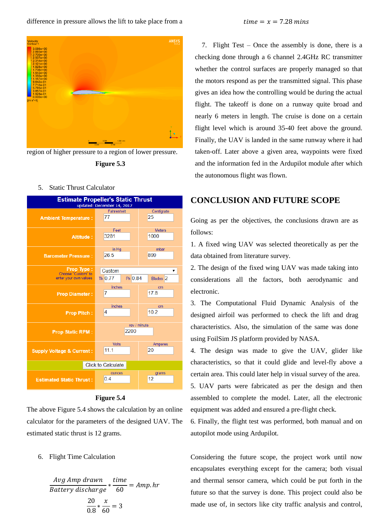

region of higher pressure to a region of lower pressure.



5. Static Thrust Calculator



#### **Figure 5.4**

The above Figure 5.4 shows the calculation by an online calculator for the parameters of the designed UAV. The estimated static thrust is 12 grams.

6. Flight Time Calculation

$$
\frac{Avg \, Amp \, drawn}{Battery \, discharge} * \frac{time}{60} = Amp \cdot hr
$$
\n
$$
\frac{20}{0.8} * \frac{x}{60} = 3
$$

7. Flight Test – Once the assembly is done, there is a checking done through a 6 channel 2.4GHz RC transmitter whether the control surfaces are properly managed so that the motors respond as per the transmitted signal. This phase gives an idea how the controlling would be during the actual flight. The takeoff is done on a runway quite broad and nearly 6 meters in length. The cruise is done on a certain flight level which is around 35-40 feet above the ground. Finally, the UAV is landed in the same runway where it had taken-off. Later above a given area, waypoints were fixed and the information fed in the Ardupilot module after which the autonomous flight was flown.

# **CONCLUSION AND FUTURE SCOPE**

Going as per the objectives, the conclusions drawn are as follows:

1. A fixed wing UAV was selected theoretically as per the data obtained from literature survey.

2. The design of the fixed wing UAV was made taking into considerations all the factors, both aerodynamic and electronic.

3. The Computational Fluid Dynamic Analysis of the designed airfoil was performed to check the lift and drag characteristics. Also, the simulation of the same was done using FoilSim JS platform provided by NASA.

4. The design was made to give the UAV, glider like characteristics, so that it could glide and level-fly above a certain area. This could later help in visual survey of the area.

5. UAV parts were fabricated as per the design and then assembled to complete the model. Later, all the electronic equipment was added and ensured a pre-flight check.

6. Finally, the flight test was performed, both manual and on autopilot mode using Ardupilot.

Considering the future scope, the project work until now encapsulates everything except for the camera; both visual and thermal sensor camera, which could be put forth in the future so that the survey is done. This project could also be made use of, in sectors like city traffic analysis and control,